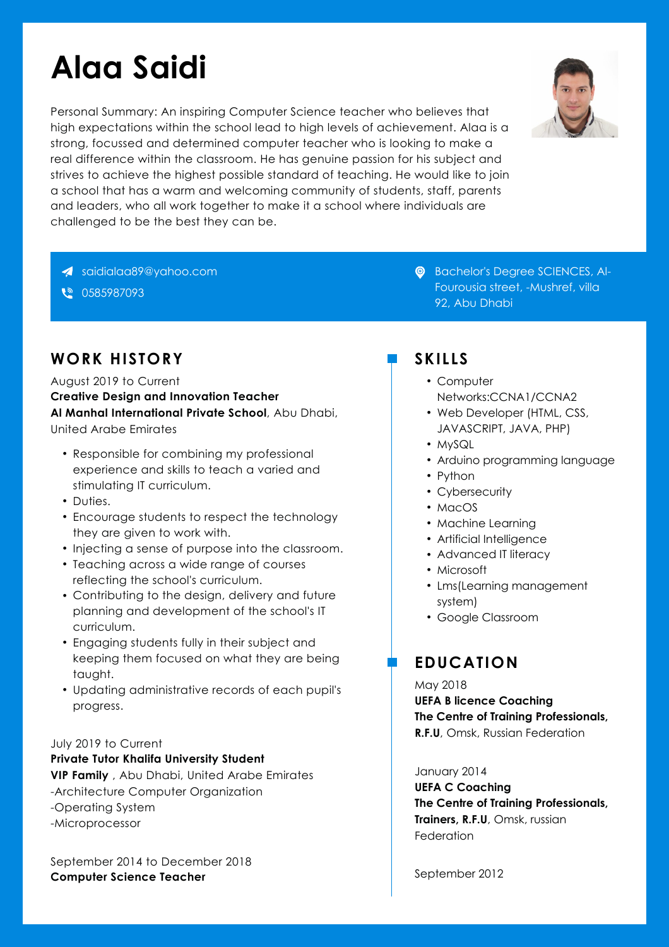# **Alaa Saidi**

Personal Summary: An inspiring Computer Science teacher who believes that high expectations within the school lead to high levels of achievement. Alaa is a strong, focussed and determined computer teacher who is looking to make a real difference within the classroom. He has genuine passion for his subject and strives to achieve the highest possible standard of teaching. He would like to join a school that has a warm and welcoming community of students, staff, parents and leaders, who all work together to make it a school where individuals are challenged to be the best they can be.



€ 0585987093

# **WORK HISTORY**

August 2019 to Current **Creative Design and Innovation Teacher Al Manhal International Private School**, Abu Dhabi, United Arabe Emirates

- Responsible for combining my professional experience and skills to teach a varied and stimulating IT curriculum.
- Duties.
- Encourage students to respect the technology they are given to work with.
- Injecting a sense of purpose into the classroom.
- Teaching across a wide range of courses reflecting the school's curriculum.
- Contributing to the design, delivery and future planning and development of the school's IT curriculum.
- Engaging students fully in their subject and keeping them focused on what they are being taught.
- Updating administrative records of each pupil's May 2018 progress.

### July 2019 to Current

**Private Tutor Khalifa University Student VIP Family** , Abu Dhabi, United Arabe Emirates -Architecture Computer Organization -Operating System -Microprocessor

September 2014 to December 2018 **Computer Science Teacher**

**C** Bachelor's Degree SCIENCES, Al-Fourousia street, -Mushref, villa 92, Abu Dhabi

## **SKILLS**

- Computer Networks:CCNA1/CCNA2
- Web Developer (HTML, CSS, JAVASCRIPT, JAVA, PHP)
- MySQL
- Arduino programming language
- Python
- Cybersecurity
- MacOS
- Machine Learning
- Artificial Intelligence
- Advanced IT literacy
- Microsoft
- Lms(Learning management system)
- Google Classroom

# **EDUCATION**

**UEFA B licence Coaching The Centre of Training Professionals, R.F.U**, Omsk, Russian Federation

### January 2014

**UEFA C Coaching The Centre of Training Professionals, Trainers, R.F.U**, Omsk, russian **Federation** 

September 2012